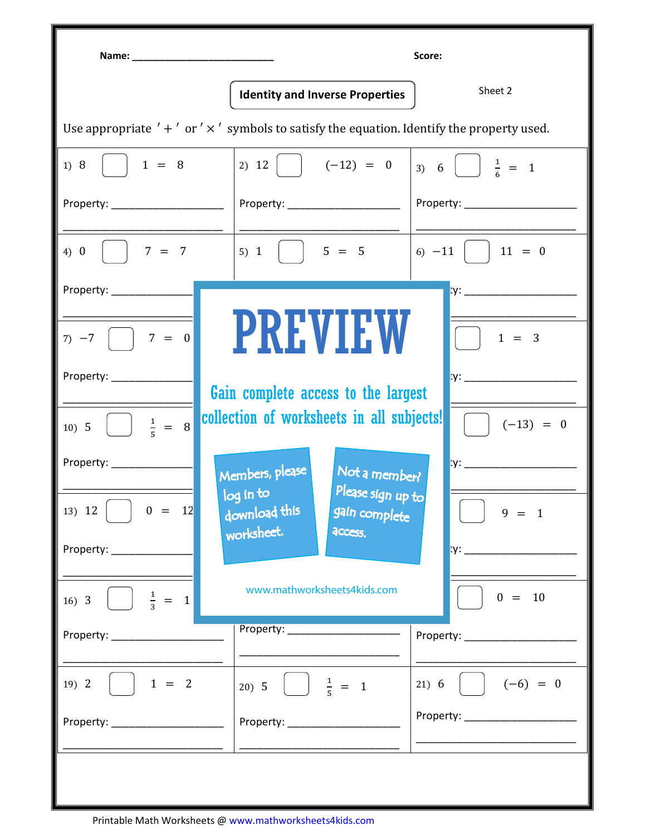